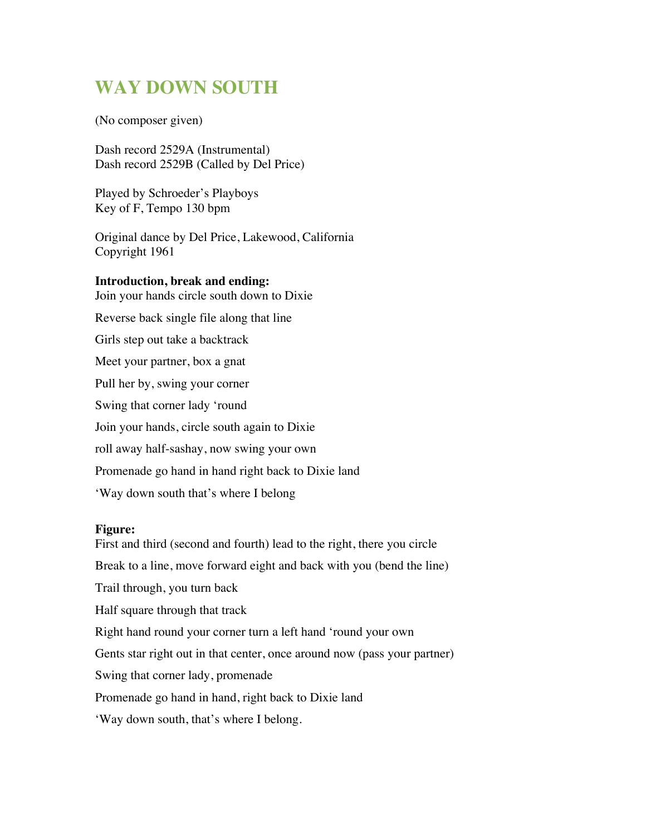## **WAY DOWN SOUTH**

(No composer given)

Dash record 2529A (Instrumental) Dash record 2529B (Called by Del Price)

Played by Schroeder's Playboys Key of F, Tempo 130 bpm

Original dance by Del Price, Lakewood, California Copyright 1961

## **Introduction, break and ending:**

Join your hands circle south down to Dixie

Reverse back single file along that line

Girls step out take a backtrack

Meet your partner, box a gnat

Pull her by, swing your corner

Swing that corner lady 'round

Join your hands, circle south again to Dixie

roll away half-sashay, now swing your own

Promenade go hand in hand right back to Dixie land

'Way down south that's where I belong

## **Figure:**

First and third (second and fourth) lead to the right, there you circle Break to a line, move forward eight and back with you (bend the line) Trail through, you turn back Half square through that track Right hand round your corner turn a left hand 'round your own Gents star right out in that center, once around now (pass your partner) Swing that corner lady, promenade Promenade go hand in hand, right back to Dixie land 'Way down south, that's where I belong.